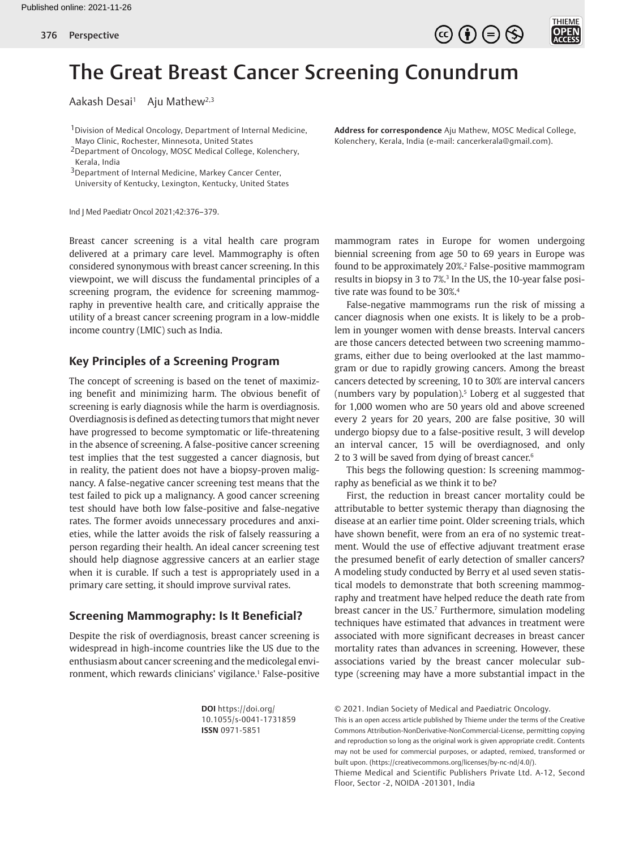



# The Great Breast Cancer Screening Conundrum

Aakash Desai<sup>1</sup> Aju Mathew<sup>2,3</sup>

<sup>1</sup> Division of Medical Oncology, Department of Internal Medicine, Mayo Clinic, Rochester, Minnesota, United States

2Department of Oncology, MOSC Medical College, Kolenchery, Kerala, India

<sup>3</sup>Department of Internal Medicine, Markey Cancer Center,

University of Kentucky, Lexington, Kentucky, United States

Ind J Med Paediatr Oncol 2021;42:376–379.

Breast cancer screening is a vital health care program delivered at a primary care level. Mammography is often considered synonymous with breast cancer screening. In this viewpoint, we will discuss the fundamental principles of a screening program, the evidence for screening mammography in preventive health care, and critically appraise the utility of a breast cancer screening program in a low-middle income country (LMIC) such as India.

#### **Key Principles of a Screening Program**

The concept of screening is based on the tenet of maximizing benefit and minimizing harm. The obvious benefit of screening is early diagnosis while the harm is overdiagnosis. Overdiagnosis is defined as detecting tumors that might never have progressed to become symptomatic or life-threatening in the absence of screening. A false-positive cancer screening test implies that the test suggested a cancer diagnosis, but in reality, the patient does not have a biopsy-proven malignancy. A false-negative cancer screening test means that the test failed to pick up a malignancy. A good cancer screening test should have both low false-positive and false-negative rates. The former avoids unnecessary procedures and anxieties, while the latter avoids the risk of falsely reassuring a person regarding their health. An ideal cancer screening test should help diagnose aggressive cancers at an earlier stage when it is curable. If such a test is appropriately used in a primary care setting, it should improve survival rates.

## **Screening Mammography: Is It Beneficial?**

Despite the risk of overdiagnosis, breast cancer screening is widespread in high-income countries like the US due to the enthusiasm about cancer screening and the medicolegal environment, which rewards clinicians' vigilance.<sup>1</sup> False-positive

> **DOI** https://doi.org/ 10.1055/s-0041-1731859 **ISSN** 0971-5851

**Address for correspondence** Aju Mathew, MOSC Medical College, Kolenchery, Kerala, India (e-mail: cancerkerala@gmail.com).

mammogram rates in Europe for women undergoing biennial screening from age 50 to 69 years in Europe was found to be approximately 20%.2 False-positive mammogram results in biopsy in 3 to 7%.<sup>3</sup> In the US, the 10-year false positive rate was found to be 30%.4

False-negative mammograms run the risk of missing a cancer diagnosis when one exists. It is likely to be a problem in younger women with dense breasts. Interval cancers are those cancers detected between two screening mammograms, either due to being overlooked at the last mammogram or due to rapidly growing cancers. Among the breast cancers detected by screening, 10 to 30% are interval cancers (numbers vary by population).5 Loberg et al suggested that for 1,000 women who are 50 years old and above screened every 2 years for 20 years, 200 are false positive, 30 will undergo biopsy due to a false-positive result, 3 will develop an interval cancer, 15 will be overdiagnosed, and only 2 to 3 will be saved from dying of breast cancer.<sup>6</sup>

This begs the following question: Is screening mammography as beneficial as we think it to be?

First, the reduction in breast cancer mortality could be attributable to better systemic therapy than diagnosing the disease at an earlier time point. Older screening trials, which have shown benefit, were from an era of no systemic treatment. Would the use of effective adjuvant treatment erase the presumed benefit of early detection of smaller cancers? A modeling study conducted by Berry et al used seven statistical models to demonstrate that both screening mammography and treatment have helped reduce the death rate from breast cancer in the US.<sup>7</sup> Furthermore, simulation modeling techniques have estimated that advances in treatment were associated with more significant decreases in breast cancer mortality rates than advances in screening. However, these associations varied by the breast cancer molecular subtype (screening may have a more substantial impact in the

© 2021. Indian Society of Medical and Paediatric Oncology.

This is an open access article published by Thieme under the terms of the Creative Commons Attribution-NonDerivative-NonCommercial-License, permitting copying and reproduction so long as the original work is given appropriate credit. Contents may not be used for commercial purposes, or adapted, remixed, transformed or built upon. (https://creativecommons.org/licenses/by-nc-nd/4.0/).

Thieme Medical and Scientific Publishers Private Ltd. A-12, Second Floor, Sector -2, NOIDA -201301, India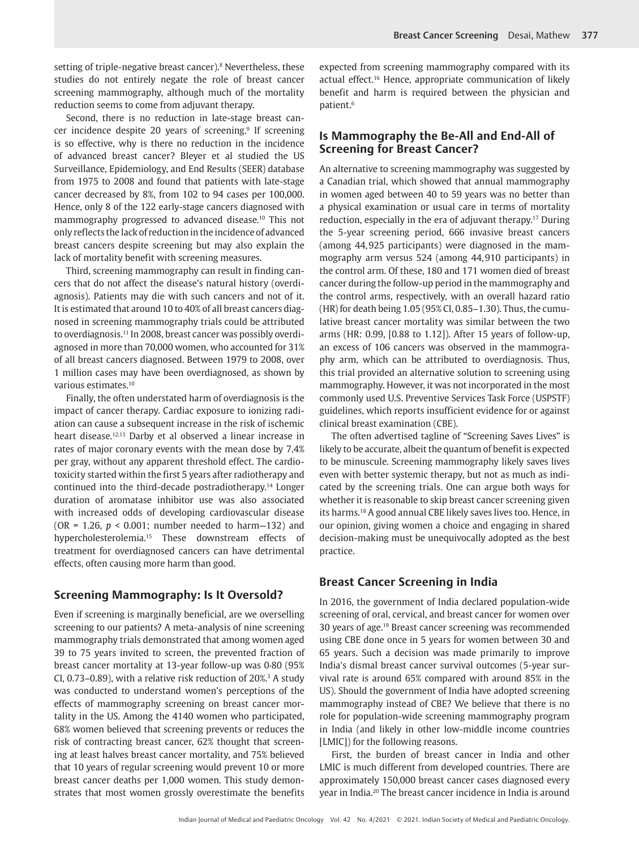setting of triple-negative breast cancer).<sup>8</sup> Nevertheless, these studies do not entirely negate the role of breast cancer screening mammography, although much of the mortality reduction seems to come from adjuvant therapy.

Second, there is no reduction in late-stage breast cancer incidence despite 20 years of screening.<sup>9</sup> If screening is so effective, why is there no reduction in the incidence of advanced breast cancer? Bleyer et al studied the US Surveillance, Epidemiology, and End Results (SEER) database from 1975 to 2008 and found that patients with late-stage cancer decreased by 8%, from 102 to 94 cases per 100,000. Hence, only 8 of the 122 early-stage cancers diagnosed with mammography progressed to advanced disease.10 This not only reflects the lack of reduction in the incidence of advanced breast cancers despite screening but may also explain the lack of mortality benefit with screening measures.

Third, screening mammography can result in finding cancers that do not affect the disease's natural history (overdiagnosis). Patients may die with such cancers and not of it. It is estimated that around 10 to 40% of all breast cancers diagnosed in screening mammography trials could be attributed to overdiagnosis.<sup>11</sup> In 2008, breast cancer was possibly overdiagnosed in more than 70,000 women, who accounted for 31% of all breast cancers diagnosed. Between 1979 to 2008, over 1 million cases may have been overdiagnosed, as shown by various estimates.10

Finally, the often understated harm of overdiagnosis is the impact of cancer therapy. Cardiac exposure to ionizing radiation can cause a subsequent increase in the risk of ischemic heart disease.<sup>12,13</sup> Darby et al observed a linear increase in rates of major coronary events with the mean dose by 7.4% per gray, without any apparent threshold effect. The cardiotoxicity started within the first 5 years after radiotherapy and continued into the third-decade postradiotherapy.14 Longer duration of aromatase inhibitor use was also associated with increased odds of developing cardiovascular disease (OR = 1.26, *p* < 0.001; number needed to harm—132) and hypercholesterolemia.15 These downstream effects of treatment for overdiagnosed cancers can have detrimental effects, often causing more harm than good.

## **Screening Mammography: Is It Oversold?**

Even if screening is marginally beneficial, are we overselling screening to our patients? A meta-analysis of nine screening mammography trials demonstrated that among women aged 39 to 75 years invited to screen, the prevented fraction of breast cancer mortality at 13-year follow-up was 0·80 (95% CI,  $0.73-0.89$ ), with a relative risk reduction of  $20\%$ <sup>3</sup> A study was conducted to understand women's perceptions of the effects of mammography screening on breast cancer mortality in the US. Among the 4140 women who participated, 68% women believed that screening prevents or reduces the risk of contracting breast cancer, 62% thought that screening at least halves breast cancer mortality, and 75% believed that 10 years of regular screening would prevent 10 or more breast cancer deaths per 1,000 women. This study demonstrates that most women grossly overestimate the benefits

expected from screening mammography compared with its actual effect.16 Hence, appropriate communication of likely benefit and harm is required between the physician and patient.6

#### **Is Mammography the Be-All and End-All of Screening for Breast Cancer?**

An alternative to screening mammography was suggested by a Canadian trial, which showed that annual mammography in women aged between 40 to 59 years was no better than a physical examination or usual care in terms of mortality reduction, especially in the era of adjuvant therapy.17 During the 5-year screening period, 666 invasive breast cancers (among 44,925 participants) were diagnosed in the mammography arm versus 524 (among 44,910 participants) in the control arm. Of these, 180 and 171 women died of breast cancer during the follow-up period in the mammography and the control arms, respectively, with an overall hazard ratio (HR) for death being 1.05 (95% CI, 0.85–1.30). Thus, the cumulative breast cancer mortality was similar between the two arms (HR: 0.99, [0.88 to 1.12]). After 15 years of follow-up, an excess of 106 cancers was observed in the mammography arm, which can be attributed to overdiagnosis. Thus, this trial provided an alternative solution to screening using mammography. However, it was not incorporated in the most commonly used U.S. Preventive Services Task Force (USPSTF) guidelines, which reports insufficient evidence for or against clinical breast examination (CBE).

The often advertised tagline of "Screening Saves Lives" is likely to be accurate, albeit the quantum of benefit is expected to be minuscule. Screening mammography likely saves lives even with better systemic therapy, but not as much as indicated by the screening trials. One can argue both ways for whether it is reasonable to skip breast cancer screening given its harms.18 A good annual CBE likely saves lives too. Hence, in our opinion, giving women a choice and engaging in shared decision-making must be unequivocally adopted as the best practice.

### **Breast Cancer Screening in India**

In 2016, the government of India declared population-wide screening of oral, cervical, and breast cancer for women over 30 years of age.19 Breast cancer screening was recommended using CBE done once in 5 years for women between 30 and 65 years. Such a decision was made primarily to improve India's dismal breast cancer survival outcomes (5-year survival rate is around 65% compared with around 85% in the US). Should the government of India have adopted screening mammography instead of CBE? We believe that there is no role for population-wide screening mammography program in India (and likely in other low-middle income countries [LMIC]) for the following reasons.

First, the burden of breast cancer in India and other LMIC is much different from developed countries. There are approximately 150,000 breast cancer cases diagnosed every year in India.20 The breast cancer incidence in India is around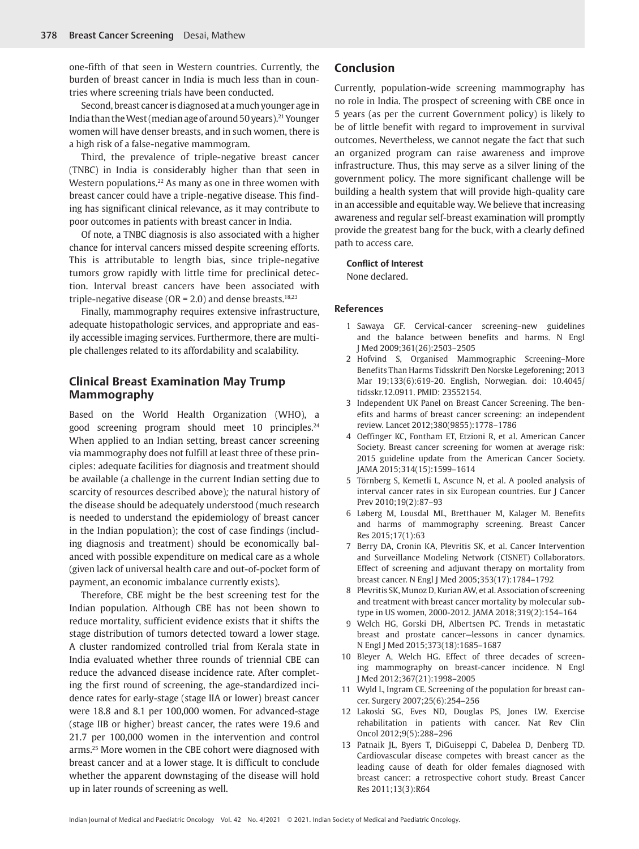one-fifth of that seen in Western countries. Currently, the burden of breast cancer in India is much less than in countries where screening trials have been conducted.

Second, breast cancer is diagnosed at a much younger age in India than the West (median age of around 50 years).21 Younger women will have denser breasts, and in such women, there is a high risk of a false-negative mammogram.

Third, the prevalence of triple-negative breast cancer (TNBC) in India is considerably higher than that seen in Western populations.22 As many as one in three women with breast cancer could have a triple-negative disease. This finding has significant clinical relevance, as it may contribute to poor outcomes in patients with breast cancer in India.

Of note, a TNBC diagnosis is also associated with a higher chance for interval cancers missed despite screening efforts. This is attributable to length bias, since triple-negative tumors grow rapidly with little time for preclinical detection. Interval breast cancers have been associated with triple-negative disease (OR =  $2.0$ ) and dense breasts.<sup>18,23</sup>

Finally, mammography requires extensive infrastructure, adequate histopathologic services, and appropriate and easily accessible imaging services. Furthermore, there are multiple challenges related to its affordability and scalability.

#### **Clinical Breast Examination May Trump Mammography**

Based on the World Health Organization (WHO), a good screening program should meet 10 principles.<sup>24</sup> When applied to an Indian setting, breast cancer screening via mammography does not fulfill at least three of these principles: adequate facilities for diagnosis and treatment should be available (a challenge in the current Indian setting due to scarcity of resources described above)*;* the natural history of the disease should be adequately understood (much research is needed to understand the epidemiology of breast cancer in the Indian population); the cost of case findings (including diagnosis and treatment) should be economically balanced with possible expenditure on medical care as a whole (given lack of universal health care and out-of-pocket form of payment, an economic imbalance currently exists).

Therefore, CBE might be the best screening test for the Indian population. Although CBE has not been shown to reduce mortality, sufficient evidence exists that it shifts the stage distribution of tumors detected toward a lower stage. A cluster randomized controlled trial from Kerala state in India evaluated whether three rounds of triennial CBE can reduce the advanced disease incidence rate. After completing the first round of screening, the age-standardized incidence rates for early-stage (stage IIA or lower) breast cancer were 18.8 and 8.1 per 100,000 women. For advanced-stage (stage IIB or higher) breast cancer, the rates were 19.6 and 21.7 per 100,000 women in the intervention and control arms.25 More women in the CBE cohort were diagnosed with breast cancer and at a lower stage. It is difficult to conclude whether the apparent downstaging of the disease will hold up in later rounds of screening as well.

#### **Conclusion**

Currently, population-wide screening mammography has no role in India. The prospect of screening with CBE once in 5 years (as per the current Government policy) is likely to be of little benefit with regard to improvement in survival outcomes. Nevertheless, we cannot negate the fact that such an organized program can raise awareness and improve infrastructure. Thus, this may serve as a silver lining of the government policy. The more significant challenge will be building a health system that will provide high-quality care in an accessible and equitable way. We believe that increasing awareness and regular self-breast examination will promptly provide the greatest bang for the buck, with a clearly defined path to access care.

#### **Conflict of Interest**

None declared.

#### **References**

- 1 Sawaya GF. Cervical-cancer screening–new guidelines and the balance between benefits and harms. N Engl J Med 2009;361(26):2503–2505
- 2 Hofvind S, Organised Mammographic Screening–More Benefits Than Harms Tidsskrift Den Norske Legeforening; 2013 Mar 19;133(6):619-20. English, Norwegian. doi: 10.4045/ tidsskr.12.0911. PMID: 23552154.
- 3 Independent UK Panel on Breast Cancer Screening. The benefits and harms of breast cancer screening: an independent review. Lancet 2012;380(9855):1778–1786
- 4 Oeffinger KC, Fontham ET, Etzioni R, et al. American Cancer Society. Breast cancer screening for women at average risk: 2015 guideline update from the American Cancer Society. JAMA 2015;314(15):1599–1614
- 5 Törnberg S, Kemetli L, Ascunce N, et al. A pooled analysis of interval cancer rates in six European countries. Eur J Cancer Prev 2010;19(2):87–93
- 6 Løberg M, Lousdal ML, Bretthauer M, Kalager M. Benefits and harms of mammography screening. Breast Cancer Res 2015;17(1):63
- 7 Berry DA, Cronin KA, Plevritis SK, et al. Cancer Intervention and Surveillance Modeling Network (CISNET) Collaborators. Effect of screening and adjuvant therapy on mortality from breast cancer. N Engl J Med 2005;353(17):1784–1792
- 8 Plevritis SK, Munoz D, Kurian AW, et al. Association of screening and treatment with breast cancer mortality by molecular subtype in US women, 2000-2012. JAMA 2018;319(2):154–164
- 9 Welch HG, Gorski DH, Albertsen PC. Trends in metastatic breast and prostate cancer—lessons in cancer dynamics. N Engl J Med 2015;373(18):1685–1687
- 10 Bleyer A, Welch HG. Effect of three decades of screening mammography on breast-cancer incidence. N Engl J Med 2012;367(21):1998–2005
- 11 Wyld L, Ingram CE. Screening of the population for breast cancer. Surgery 2007;25(6):254–256
- 12 Lakoski SG, Eves ND, Douglas PS, Jones LW. Exercise rehabilitation in patients with cancer. Nat Rev Clin Oncol 2012;9(5):288–296
- 13 Patnaik JL, Byers T, DiGuiseppi C, Dabelea D, Denberg TD. Cardiovascular disease competes with breast cancer as the leading cause of death for older females diagnosed with breast cancer: a retrospective cohort study. Breast Cancer Res 2011;13(3):R64